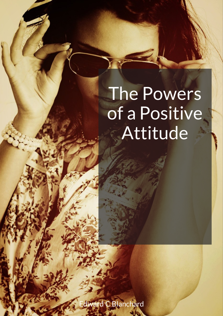Edward C Blanchard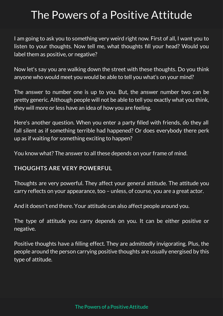I am going to ask you to something very weird right now. First of all, I want you to listen to your thoughts. Now tell me, what thoughts fill your head? Would you label them as positive, or negative?

Now let's say you are walking down the street with these thoughts. Do you think anyone who would meet you would be able to tell you what's on your mind?

The answer to number one is up to you. But, the answer number two can be pretty generic. Although people will not be able to tell you exactly what you think, they will more or less have an idea of how you are feeling.

Here's another question. When you enter a party filled with friends, do they all fall silent as if something terrible had happened? Or does everybody there perk up as if waiting for something exciting to happen?

You know what? The answer to all these depends on your frame of mind.

#### THOUGHTS ARE VERY POWERFUL

Thoughts are very powerful. They affect your general attitude. The attitude you carry reflects on your appearance, too – unless, of course, you are a great actor.

And it doesn't end there. Your attitude can also affect people around you.

The type of attitude you carry depends on you. It can be either positive or negative.

Positive thoughts have a filling effect. They are admittedly invigorating. Plus, the people around the person carrying positive thoughts are usually energised by this type of attitude.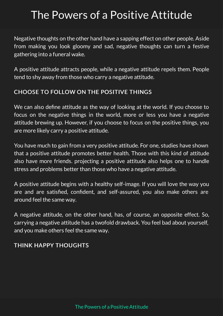Negative thoughts on the other hand have a sapping effect on other people. Aside from making you look gloomy and sad, negative thoughts can turn a festive gathering into a funeral wake.

A positive attitude attracts people, while a negative attitude repels them. People tend to shy away from those who carry a negative attitude.

#### CHOOSE TO FOLLOW ON THE POSITIVE THINGS

We can also define attitude as the way of looking at the world. If you choose to focus on the negative things in the world, more or less you have a negative attitude brewing up. However, if you choose to focus on the positive things, you are more likely carry a positive attitude.

You have much to gain from a very positive attitude. For one, studies have shown that a positive attitude promotes better health. Those with this kind of attitude also have more friends. projecting a positive attitude also helps one to handle stress and problems better than those who have a negative attitude.

A positive attitude begins with a healthy self-image. If you will love the way you are and are satisfied, confident, and self-assured, you also make others are around feel the same way.

A negative attitude, on the other hand, has, of course, an opposite effect. So, carrying a negative attitude has a twofold drawback. You feel bad about yourself, and you make others feel the same way.

#### THINK HAPPY THOUGHTS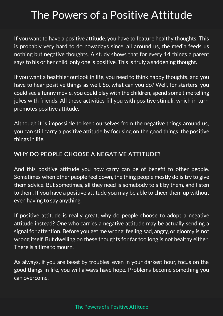If you want to have a positive attitude, you have to feature healthy thoughts. This is probably very hard to do nowadays since, all around us, the media feeds us nothing but negative thoughts. A study shows that for every 14 things a parent says to his or her child, only one is positive. This is truly a saddening thought.

If you want a healthier outlook in life, you need to think happy thoughts, and you have to hear positive things as well. So, what can you do? Well, for starters, you could see a funny movie, you could play with the children, spend some time telling jokes with friends. All these activities fill you with positive stimuli, which in turn promotes positive attitude.

Although it is impossible to keep ourselves from the negative things around us, you can still carry a positive attitude by focusing on the good things, the positive things in life.

#### WHY DO PEOPLE CHOOSE A NEGATIVE ATTITUDE?

And this positive attitude you now carry can be of benefit to other people. Sometimes when other people feel down, the thing people mostly do is try to give them advice. But sometimes, all they need is somebody to sit by them, and listen to them. If you have a positive attitude you may be able to cheer them up without even having to say anything.

If positive attitude is really great, why do people choose to adopt a negative attitude instead? One who carries a negative attitude may be actually sending a signal for attention. Before you get me wrong, feeling sad, angry, or gloomy is not wrong itself. But dwelling on these thoughts for far too long is not healthy either. There is a time to mourn.

As always, if you are beset by troubles, even in your darkest hour, focus on the good things in life, you will always have hope. Problems become something you can overcome.